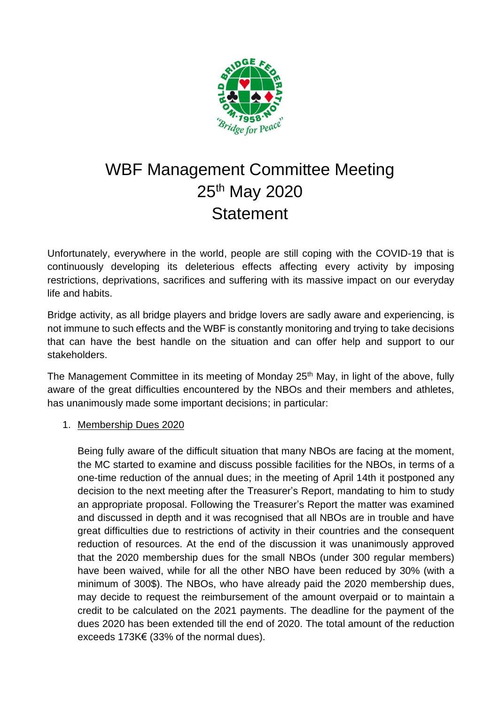

# WBF Management Committee Meeting 25<sup>th</sup> May 2020 **Statement**

Unfortunately, everywhere in the world, people are still coping with the COVID-19 that is continuously developing its deleterious effects affecting every activity by imposing restrictions, deprivations, sacrifices and suffering with its massive impact on our everyday life and habits.

Bridge activity, as all bridge players and bridge lovers are sadly aware and experiencing, is not immune to such effects and the WBF is constantly monitoring and trying to take decisions that can have the best handle on the situation and can offer help and support to our stakeholders.

The Management Committee in its meeting of Monday 25<sup>th</sup> May, in light of the above, fully aware of the great difficulties encountered by the NBOs and their members and athletes, has unanimously made some important decisions; in particular:

#### 1. Membership Dues 2020

Being fully aware of the difficult situation that many NBOs are facing at the moment, the MC started to examine and discuss possible facilities for the NBOs, in terms of a one-time reduction of the annual dues; in the meeting of April 14th it postponed any decision to the next meeting after the Treasurer's Report, mandating to him to study an appropriate proposal. Following the Treasurer's Report the matter was examined and discussed in depth and it was recognised that all NBOs are in trouble and have great difficulties due to restrictions of activity in their countries and the consequent reduction of resources. At the end of the discussion it was unanimously approved that the 2020 membership dues for the small NBOs (under 300 regular members) have been waived, while for all the other NBO have been reduced by 30% (with a minimum of 300\$). The NBOs, who have already paid the 2020 membership dues, may decide to request the reimbursement of the amount overpaid or to maintain a credit to be calculated on the 2021 payments. The deadline for the payment of the dues 2020 has been extended till the end of 2020. The total amount of the reduction exceeds 173K€ (33% of the normal dues).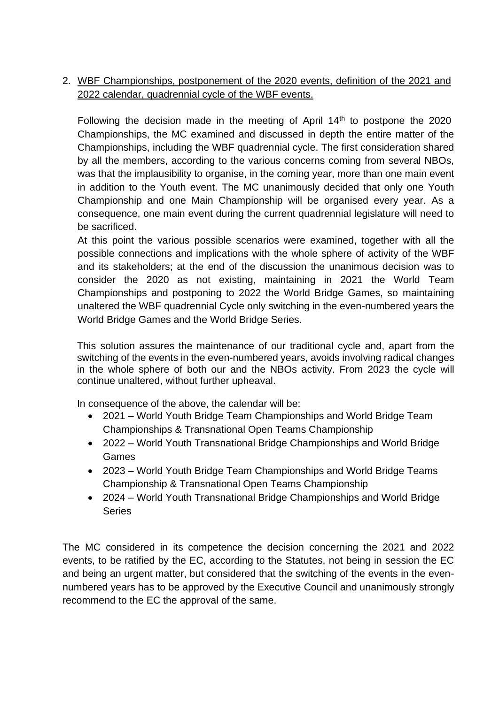# 2. WBF Championships, postponement of the 2020 events, definition of the 2021 and 2022 calendar, quadrennial cycle of the WBF events.

Following the decision made in the meeting of April 14<sup>th</sup> to postpone the 2020 Championships, the MC examined and discussed in depth the entire matter of the Championships, including the WBF quadrennial cycle. The first consideration shared by all the members, according to the various concerns coming from several NBOs, was that the implausibility to organise, in the coming year, more than one main event in addition to the Youth event. The MC unanimously decided that only one Youth Championship and one Main Championship will be organised every year. As a consequence, one main event during the current quadrennial legislature will need to be sacrificed.

At this point the various possible scenarios were examined, together with all the possible connections and implications with the whole sphere of activity of the WBF and its stakeholders; at the end of the discussion the unanimous decision was to consider the 2020 as not existing, maintaining in 2021 the World Team Championships and postponing to 2022 the World Bridge Games, so maintaining unaltered the WBF quadrennial Cycle only switching in the even-numbered years the World Bridge Games and the World Bridge Series.

This solution assures the maintenance of our traditional cycle and, apart from the switching of the events in the even-numbered years, avoids involving radical changes in the whole sphere of both our and the NBOs activity. From 2023 the cycle will continue unaltered, without further upheaval.

In consequence of the above, the calendar will be:

- 2021 World Youth Bridge Team Championships and World Bridge Team Championships & Transnational Open Teams Championship
- 2022 World Youth Transnational Bridge Championships and World Bridge Games
- 2023 World Youth Bridge Team Championships and World Bridge Teams Championship & Transnational Open Teams Championship
- 2024 World Youth Transnational Bridge Championships and World Bridge **Series**

The MC considered in its competence the decision concerning the 2021 and 2022 events, to be ratified by the EC, according to the Statutes, not being in session the EC and being an urgent matter, but considered that the switching of the events in the evennumbered years has to be approved by the Executive Council and unanimously strongly recommend to the EC the approval of the same.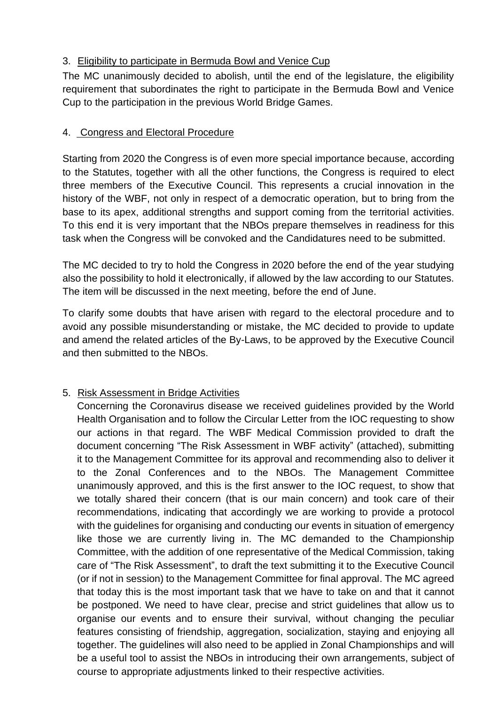## 3. Eligibility to participate in Bermuda Bowl and Venice Cup

The MC unanimously decided to abolish, until the end of the legislature, the eligibility requirement that subordinates the right to participate in the Bermuda Bowl and Venice Cup to the participation in the previous World Bridge Games.

### 4. Congress and Electoral Procedure

Starting from 2020 the Congress is of even more special importance because, according to the Statutes, together with all the other functions, the Congress is required to elect three members of the Executive Council. This represents a crucial innovation in the history of the WBF, not only in respect of a democratic operation, but to bring from the base to its apex, additional strengths and support coming from the territorial activities. To this end it is very important that the NBOs prepare themselves in readiness for this task when the Congress will be convoked and the Candidatures need to be submitted.

The MC decided to try to hold the Congress in 2020 before the end of the year studying also the possibility to hold it electronically, if allowed by the law according to our Statutes. The item will be discussed in the next meeting, before the end of June.

To clarify some doubts that have arisen with regard to the electoral procedure and to avoid any possible misunderstanding or mistake, the MC decided to provide to update and amend the related articles of the By-Laws, to be approved by the Executive Council and then submitted to the NBOs.

# 5. Risk Assessment in Bridge Activities

Concerning the Coronavirus disease we received guidelines provided by the World Health Organisation and to follow the Circular Letter from the IOC requesting to show our actions in that regard. The WBF Medical Commission provided to draft the document concerning "The Risk Assessment in WBF activity" (attached), submitting it to the Management Committee for its approval and recommending also to deliver it to the Zonal Conferences and to the NBOs. The Management Committee unanimously approved, and this is the first answer to the IOC request, to show that we totally shared their concern (that is our main concern) and took care of their recommendations, indicating that accordingly we are working to provide a protocol with the guidelines for organising and conducting our events in situation of emergency like those we are currently living in. The MC demanded to the Championship Committee, with the addition of one representative of the Medical Commission, taking care of "The Risk Assessment", to draft the text submitting it to the Executive Council (or if not in session) to the Management Committee for final approval. The MC agreed that today this is the most important task that we have to take on and that it cannot be postponed. We need to have clear, precise and strict guidelines that allow us to organise our events and to ensure their survival, without changing the peculiar features consisting of friendship, aggregation, socialization, staying and enjoying all together. The guidelines will also need to be applied in Zonal Championships and will be a useful tool to assist the NBOs in introducing their own arrangements, subject of course to appropriate adjustments linked to their respective activities.